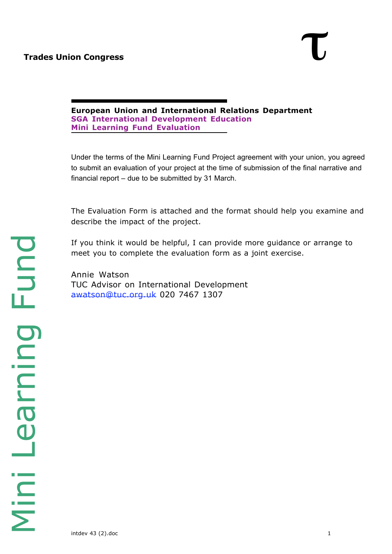**European Union and International Relations Department SGA International Development Education Mini Learning Fund Evaluation**

Under the terms of the Mini Learning Fund Project agreement with your union, you agreed to submit an evaluation of your project at the time of submission of the final narrative and financial report – due to be submitted by 31 March.

The Evaluation Form is attached and the format should help you examine and describe the impact of the project.

If you think it would be helpful, I can provide more guidance or arrange to meet you to complete the evaluation form as a joint exercise.

Annie Watson TUC Advisor on International Development awatson@tuc.org.uk 020 7467 1307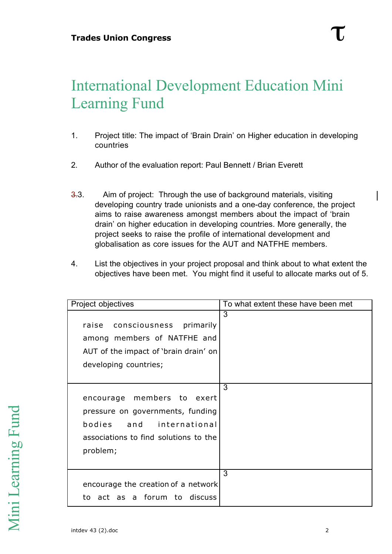## International Development Education Mini Learning Fund

- 1. Project title: The impact of 'Brain Drain' on Higher education in developing countries
- 2. Author of the evaluation report: Paul Bennett / Brian Everett
- 3.3. Aim of project: Through the use of background materials, visiting developing country trade unionists and a one-day conference, the project aims to raise awareness amongst members about the impact of 'brain drain' on higher education in developing countries. More generally, the project seeks to raise the profile of international development and globalisation as core issues for the AUT and NATFHE members.
- 4. List the objectives in your project proposal and think about to what extent the objectives have been met. You might find it useful to allocate marks out of 5.

| Project objectives                                                                                                                                 | To what extent these have been met |
|----------------------------------------------------------------------------------------------------------------------------------------------------|------------------------------------|
| consciousness primarily<br>raise<br>among members of NATFHE and<br>AUT of the impact of 'brain drain' on<br>developing countries;                  | 3                                  |
| encourage members to exert<br>pressure on governments, funding<br>bodies<br>and international<br>associations to find solutions to the<br>problem; | 3                                  |
| encourage the creation of a network<br>to act as a forum to discuss                                                                                | 3                                  |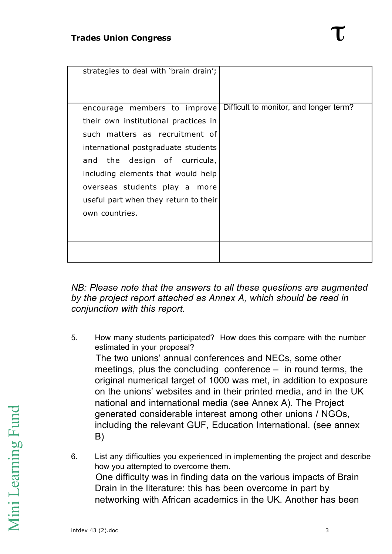| strategies to deal with 'brain drain';                                                                                                                                                                                                                                                                          |                                        |
|-----------------------------------------------------------------------------------------------------------------------------------------------------------------------------------------------------------------------------------------------------------------------------------------------------------------|----------------------------------------|
| encourage members to improve<br>their own institutional practices in<br>such matters as recruitment of<br>international postgraduate students<br>and the design of curricula,<br>including elements that would help<br>overseas students play a more<br>useful part when they return to their<br>own countries. | Difficult to monitor, and longer term? |
|                                                                                                                                                                                                                                                                                                                 |                                        |

*NB: Please note that the answers to all these questions are augmented by the project report attached as Annex A, which should be read in conjunction with this report.*

- 5. How many students participated? How does this compare with the number estimated in your proposal? The two unions' annual conferences and NECs, some other meetings, plus the concluding conference – in round terms, the original numerical target of 1000 was met, in addition to exposure on the unions' websites and in their printed media, and in the UK national and international media (see Annex A). The Project generated considerable interest among other unions / NGOs, including the relevant GUF, Education International. (see annex B)
- 6. List any difficulties you experienced in implementing the project and describe how you attempted to overcome them. One difficulty was in finding data on the various impacts of Brain Drain in the literature: this has been overcome in part by networking with African academics in the UK. Another has been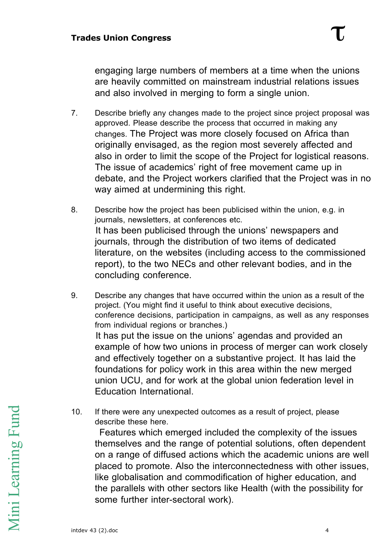engaging large numbers of members at a time when the unions are heavily committed on mainstream industrial relations issues and also involved in merging to form a single union.

- 7. Describe briefly any changes made to the project since project proposal was approved. Please describe the process that occurred in making any changes. The Project was more closely focused on Africa than originally envisaged, as the region most severely affected and also in order to limit the scope of the Project for logistical reasons. The issue of academics' right of free movement came up in debate, and the Project workers clarified that the Project was in no way aimed at undermining this right.
- 8. Describe how the project has been publicised within the union, e.g. in journals, newsletters, at conferences etc. It has been publicised through the unions' newspapers and journals, through the distribution of two items of dedicated literature, on the websites (including access to the commissioned report), to the two NECs and other relevant bodies, and in the concluding conference.
- 9. Describe any changes that have occurred within the union as a result of the project. (You might find it useful to think about executive decisions, conference decisions, participation in campaigns, as well as any responses from individual regions or branches.) It has put the issue on the unions' agendas and provided an example of how two unions in process of merger can work closely and effectively together on a substantive project. It has laid the foundations for policy work in this area within the new merged union UCU, and for work at the global union federation level in Education International.
- 10. If there were any unexpected outcomes as a result of project, please describe these here.

 Features which emerged included the complexity of the issues themselves and the range of potential solutions, often dependent on a range of diffused actions which the academic unions are well placed to promote. Also the interconnectedness with other issues, like globalisation and commodification of higher education, and the parallels with other sectors like Health (with the possibility for some further inter-sectoral work).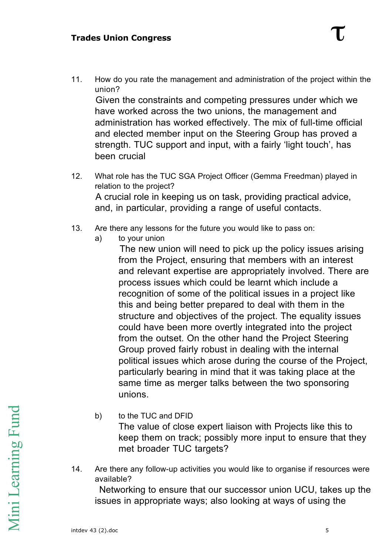11. How do you rate the management and administration of the project within the union?

 Given the constraints and competing pressures under which we have worked across the two unions, the management and administration has worked effectively. The mix of full-time official and elected member input on the Steering Group has proved a strength. TUC support and input, with a fairly 'light touch', has been crucial

- 12. What role has the TUC SGA Project Officer (Gemma Freedman) played in relation to the project? A crucial role in keeping us on task, providing practical advice, and, in particular, providing a range of useful contacts.
- 13. Are there any lessons for the future you would like to pass on:
	- a) to your union

 The new union will need to pick up the policy issues arising from the Project, ensuring that members with an interest and relevant expertise are appropriately involved. There are process issues which could be learnt which include a recognition of some of the political issues in a project like this and being better prepared to deal with them in the structure and objectives of the project. The equality issues could have been more overtly integrated into the project from the outset. On the other hand the Project Steering Group proved fairly robust in dealing with the internal political issues which arose during the course of the Project, particularly bearing in mind that it was taking place at the same time as merger talks between the two sponsoring unions.

b) to the TUC and DFID

The value of close expert liaison with Projects like this to keep them on track; possibly more input to ensure that they met broader TUC targets?

14. Are there any follow-up activities you would like to organise if resources were available?

 Networking to ensure that our successor union UCU, takes up the issues in appropriate ways; also looking at ways of using the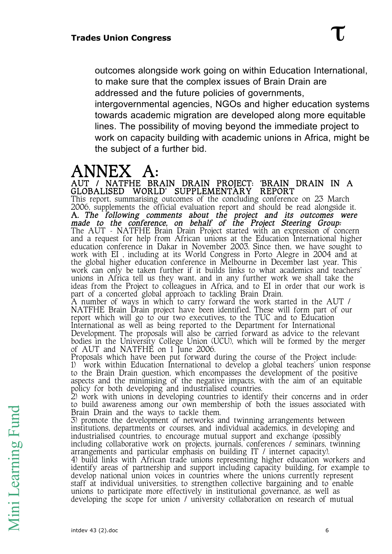outcomes alongside work going on within Education International, to make sure that the complex issues of Brain Drain are addressed and the future policies of governments, intergovernmental agencies, NGOs and higher education systems towards academic migration are developed along more equitable lines. The possibility of moving beyond the immediate project to work on capacity building with academic unions in Africa, might be the subject of a further bid.

### ANNEX A:

AUT / NATFHE BRAIN DRAIN PROJECT: 'BRAIN DRAIN IN A GLOBALISED WORLD' SUPPLEMENTARY REPORT This report, summarising outcomes of the concluding conference on 23 March 2006, supplements the official evaluation report and should be read alongside it. A. The following comments about the project and its outcomes were made to the conference, on behalf of the Project Steering Group: The AUT – NATFHE Brain Drain Project started with an expression of concern and a request for help from African unions at the Education International higher education conference in Dakar in November 2003. Since then, we have sought to work with EI , including at its World Congress in Porto Alegre in 2004 and at the global higher education conference in Melbourne in December last year. This work can only be taken further if it builds links to what academics and teachers' unions in Africa tell us they want, and in any further work we shall take the ideas from the Project to colleagues in Africa, and to EI in order that our work is part of a concerted global approach to tackling Brain Drain. A number of ways in which to carry forward the work started in the AUT / NATFHE Brain Drain project have been identified. These will form part of our report which will go to our two executives, to the TUC and to Education International as well as being reported to the Department for International Development. The proposals will also be carried forward as advice to the relevant bodies in the University College Union (UCU), which will be formed by the merger of AUT and NATFHE on 1 June 2006. Proposals which have been put forward during the course of the Project include: 1) work within Education International to develop a global teachers' union response to the Brain Drain question, which encompasses the development of the positive aspects and the minimising of the negative impacts, with the aim of an equitable policy for both developing and industrialised countries.

2) work with unions in developing countries to identify their concerns and in order to build awareness among our own membership of both the issues associated with Brain Drain and the ways to tackle them.

3) promote the development of networks and twinning arrangements between institutions, departments or courses, and individual academics, in developing and industrialised countries, to encourage mutual support and exchange (possibly including collaborative work on projects, journals, conferences / seminars, twinning arrangements and particular emphasis on building IT / internet capacity). 4) build links with African trade unions representing higher education workers and identify areas of partnership and support including capacity building, for example to develop national union voices in countries where the unions currently represent staff at individual universities, to strengthen collective bargaining and to enable unions to participate more effectively in institutional governance, as well as developing the scope for union / university collaboration on research of mutual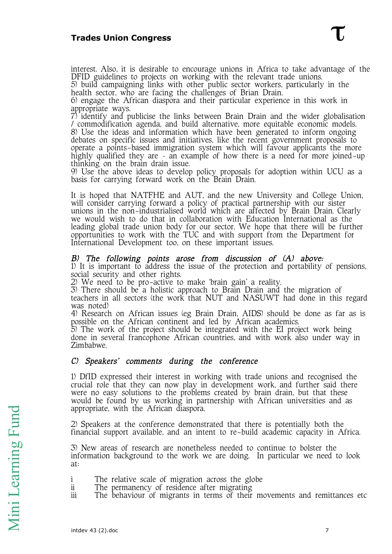interest. Also, it is desirable to encourage unions in Africa to take advantage of the DFID guidelines to projects on working with the relevant trade unions.

5) build campaigning links with other public sector workers, particularly in the health sector, who are facing the challenges of Brian Drain.

6) engage the African diaspora and their particular experience in this work in appropriate ways.

7) identify and publicise the links between Brain Drain and the wider globalisation / commodification agenda, and build alternative, more equitable economic models. 8) Use the ideas and information which have been generated to inform ongoing debates on specific issues and initiatives, like the recent government proposals to operate a points-based immigration system which will favour applicants the more highly qualified they are - an example of how there is a need for more joined-up thinking on the brain drain issue.

9) Use the above ideas to develop policy proposals for adoption within UCU as a basis for carrying forward work on the Brain Drain.

It is hoped that NATFHE and AUT, and the new University and College Union, will consider carrying forward a policy of practical partnership with our sister unions in the non-industrialised world which are affected by Brain Drain. Clearly we would wish to do that in collaboration with Education International as the leading global trade union body for our sector. We hope that there will be further opportunities to work with the TUC and with support from the Department for International Development too, on these important issues.

#### B) The following points arose from discussion of (A) above:

1) It is important to address the issue of the protection and portability of pensions, social security and other rights.

2) We need to be pro-active to make 'brain gain' a reality.

3) There should be a holistic approach to Brain Drain and the migration of teachers in all sectors (the work that NUT and NASUWT had done in this regard was noted)

4) Research on African issues (eg Brain Drain, AIDS) should be done as far as is possible on the African continent and led by African academics.

5) The work of the project should be integrated with the EI project work being done in several francophone African countries, and with work also under way in Zimbabwe.

#### C) Speakers' comments during the conference

1) DfID expressed their interest in working with trade unions and recognised the crucial role that they can now play in development work, and further said there were no easy solutions to the problems created by brain drain, but that these would be found by us working in partnership with African universities and as appropriate, with the African diaspora.

2) Speakers at the conference demonstrated that there is potentially both the financial support available, and an intent to re-build academic capacity in Africa.

3) New areas of research are nonetheless needed to continue to bolster the information background to the work we are doing. In particular we need to look at:

- i The relative scale of migration across the globe
- ii The permanency of residence after migrating
- iii The behaviour of migrants in terms of their movements and remittances etc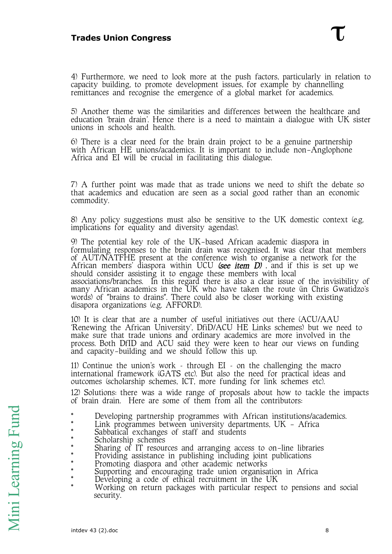# **Trades Union Congress**

4) Furthermore, we need to look more at the push factors, particularly in relation to capacity building, to promote development issues, for example by channelling remittances and recognise the emergence of a global market for academics.

5) Another theme was the similarities and differences between the healthcare and education 'brain drain'. Hence there is a need to maintain a dialogue with UK sister unions in schools and health.

6) There is a clear need for the brain drain project to be a genuine partnership with African HE unions/academics. It is important to include non-Anglophone Africa and EI will be crucial in facilitating this dialogue.

7) A further point was made that as trade unions we need to shift the debate so that academics and education are seen as a social good rather than an economic commodity.

8) Any policy suggestions must also be sensitive to the UK domestic context (e.g. implications for equality and diversity agendas).

9) The potential key role of the UK-based African academic diaspora in formulating responses to the brain drain was recognised. It was clear that members of AUT/NATFHE present at the conference wish to organise a network for the African members' diaspora within UCU *(see item D)* , and if this is set up we should consider assisting it to engage these members with local associations/branches. In this regard there is also a clear issue of the invisibility of many African academics in the UK who have taken the route (in Chris Gwatidzo's words) of "brains to drains". There could also be closer working with existing disapora organizations (e.g. AFFORD).

10) It is clear that are a number of useful initiatives out there (ACU/AAU 'Renewing the African University', DfiD/ACU HE Links schemes) but we need to make sure that trade unions and ordinary academics are more involved in the process. Both DfID and ACU said they were keen to hear our views on funding and capacity-building and we should follow this up.

11) Continue the union's work – through EI – on the challenging the macro international framework (GATS etc). But also the need for practical ideas and outcomes (scholarship schemes, ICT, more funding for link schemes etc).

12) Solutions: there was a wide range of proposals about how to tackle the impacts of brain drain. Here are some of them from all the contributors:

- \* Developing partnership programmes with African institutions/academics.
- Link programmes between university departments,  $UK African$
- Sabbatical exchanges of staff and students
- Scholarship schemes
- Sharing of IT resources and arranging access to on-line libraries
- Providing assistance in publishing including joint publications
- Promoting diaspora and other academic networks
- \* Supporting and encouraging trade union organisation in Africa
- \* Developing a code of ethical recruitment in the UK
- Working on return packages with particular respect to pensions and social security.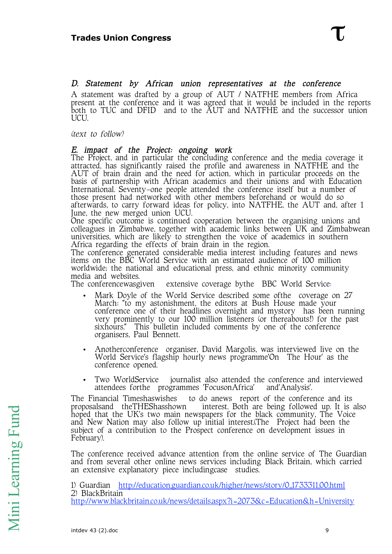#### D. Statement by African union representatives at the conference

A statement was drafted by a group of AUT / NATFHE members from Africa present at the conference and it was agreed that it would be included in the reports both to TUC and DFID and to the AUT and NATFHE and the successor union UCU.

(text to follow)

#### E. impact of the Project: ongoing work

The Project, and in particular the concluding conference and the media coverage it attracted, has significantly raised the profile and awareness in NATFHE and the AUT of brain drain and the need for action, which in particular proceeds on the basis of partnership with African academics and their unions and with Education International. Seventy-one people attended the conference itself but a number of those present had networked with other members beforehand or would do so afterwards, to carry forward ideas for policy, into NATFHE, the AUT and, after 1 June, the new merged union UCU.

One specific outcome is continued cooperation between the organising unions and colleagues in Zimbabwe, together with academic links between UK and Zimbabwean universities, which are likely to strengthen the voice of academics in southern Africa regarding the effects of brain drain in the region.

The conference generated considerable media interest including features and news items on the BBC World Service with an estimated audience of 100 million worldwide; the national and educational press, and ethnic minority community media and websites.<br>The conferencewasgiven

extensive coverage bythe BBC World Service:

- Mark Doyle of the World Service described some ofthe coverage on 27 March: "to my astonishment, the editors at Bush House made your conference one of their headlines overnight and mystory has been running very prominently to our 100 million listeners (or thereabouts!) for the past sixhours." This bulletin included comments by one of the conference organisers, Paul Bennett.
- Anotherconference organiser, David Margolis, was interviewed live on the World Service's flagship hourly news programme'On The Hour' as the conference opened.
- Two WorldService journalist also attended the conference and interviewed attendees forthe programmes 'FocusonAfrica' and'Analysis'.

The Financial Timeshaswishes to do anews report of the conference and its proposalsand the THEShasshown interest. Both are being followed up. It is interest. Both are being followed up. It is also hoped that the UK's two main newspapers for the black community, The Voice and New Nation may also follow up initial interest.(The Project had been the subject of a contribution to the Prospect conference on development issues in February).

The conference received advance attention from the online service of The Guardian and from several other online news services including Black Britain, which carried an extensive explanatory piece includingcase studies.

1) Guardian http://education.guardian.co.uk/higher/news/story/0,,1733311,00.html 2) BlackBritain http://www.blackbritain.co.uk/news/details.aspx?i=2073&c=Education&h=University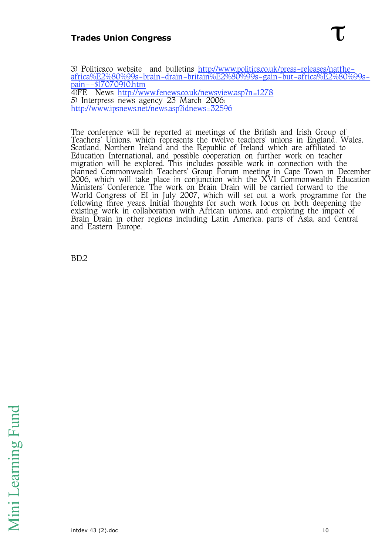# **Trades Union Congress**

3) Politics.co website and bulletins http://www.politics.co.uk/press-releases/natfheafrica%E2%80%99s-brain-drain-britain%E2%80%99s-gain-but-africa%E2%80%99s-<u>pain--\$17070910.htm</u> 4)FE News <u>http://www.fenews.co.uk/newsview.asp?n=1278</u> 5) Interpress news agency 23 March 2006: http://www.ipsnews.net/news.asp?idnews=32596

The conference will be reported at meetings of the British and Irish Group of Teachers' Unions, which represents the twelve teachers' unions in England, Wales, Scotland, Northern Ireland and the Republic of Ireland which are affiliated to Education International, and possible cooperation on further work on teacher migration will be explored. This includes possible work in connection with the planned Commonwealth Teachers' Group Forum meeting in Cape Town in December 2006, which will take place in conjunction with the XVI Commonwealth Education Ministers' Conference. The work on Brain Drain will be carried forward to the World Congress of EI in July 2007, which will set out a work programme for the following three years. Initial thoughts for such work focus on both deepening the existing work in collaboration with African unions, and exploring the impact of Brain Drain in other regions including Latin America, parts of Asia, and Central and Eastern Europe.

BD.2